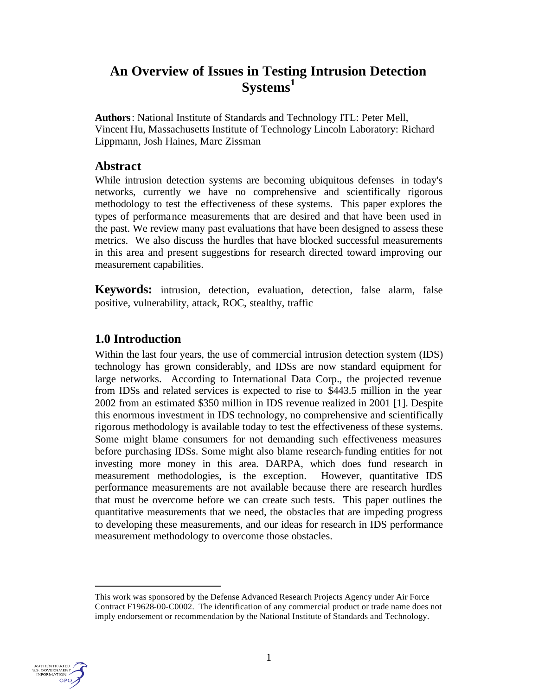# **An Overview of Issues in Testing Intrusion Detection Systems<sup>1</sup>**

**Authors**: National Institute of Standards and Technology ITL: Peter Mell, Vincent Hu, Massachusetts Institute of Technology Lincoln Laboratory: Richard Lippmann, Josh Haines, Marc Zissman

# **Abstract**

While intrusion detection systems are becoming ubiquitous defenses in today's networks, currently we have no comprehensive and scientifically rigorous methodology to test the effectiveness of these systems. This paper explores the types of performance measurements that are desired and that have been used in the past. We review many past evaluations that have been designed to assess these metrics. We also discuss the hurdles that have blocked successful measurements in this area and present suggestions for research directed toward improving our measurement capabilities.

**Keywords:** intrusion, detection, evaluation, detection, false alarm, false positive, vulnerability, attack, ROC, stealthy, traffic

# **1.0 Introduction**

Within the last four years, the use of commercial intrusion detection system (IDS) technology has grown considerably, and IDSs are now standard equipment for large networks. According to International Data Corp., the projected revenue from IDSs and related services is expected to rise to \$443.5 million in the year 2002 from an estimated \$350 million in IDS revenue realized in 2001 [1]. Despite this enormous investment in IDS technology, no comprehensive and scientifically rigorous methodology is available today to test the effectiveness of these systems. Some might blame consumers for not demanding such effectiveness measures before purchasing IDSs. Some might also blame research-funding entities for not investing more money in this area. DARPA, which does fund research in measurement methodologies, is the exception. However, quantitative IDS performance measurements are not available because there are research hurdles that must be overcome before we can create such tests. This paper outlines the quantitative measurements that we need, the obstacles that are impeding progress to developing these measurements, and our ideas for research in IDS performance measurement methodology to overcome those obstacles.



 $\overline{a}$ 

This work was sponsored by the Defense Advanced Research Projects Agency under Air Force Contract F19628-00-C0002. The identification of any commercial product or trade name does not imply endorsement or recommendation by the National Institute of Standards and Technology.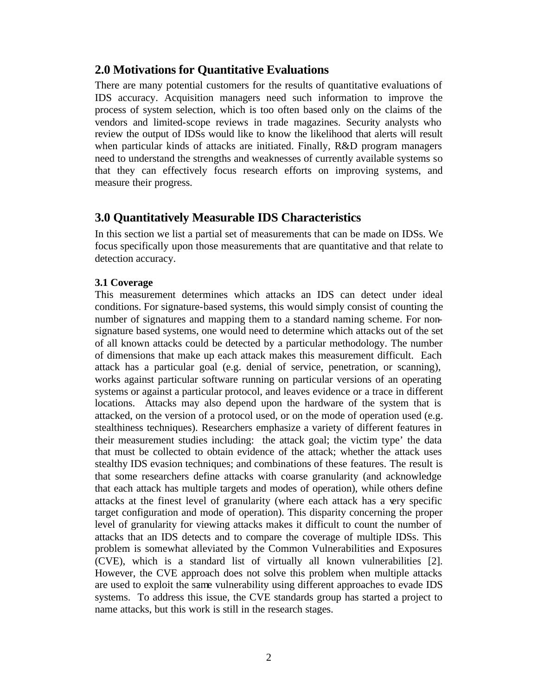# **2.0 Motivations for Quantitative Evaluations**

There are many potential customers for the results of quantitative evaluations of IDS accuracy. Acquisition managers need such information to improve the process of system selection, which is too often based only on the claims of the vendors and limited-scope reviews in trade magazines. Security analysts who review the output of IDSs would like to know the likelihood that alerts will result when particular kinds of attacks are initiated. Finally, R&D program managers need to understand the strengths and weaknesses of currently available systems so that they can effectively focus research efforts on improving systems, and measure their progress.

# **3.0 Quantitatively Measurable IDS Characteristics**

In this section we list a partial set of measurements that can be made on IDSs. We focus specifically upon those measurements that are quantitative and that relate to detection accuracy.

## **3.1 Coverage**

This measurement determines which attacks an IDS can detect under ideal conditions. For signature-based systems, this would simply consist of counting the number of signatures and mapping them to a standard naming scheme. For nonsignature based systems, one would need to determine which attacks out of the set of all known attacks could be detected by a particular methodology. The number of dimensions that make up each attack makes this measurement difficult. Each attack has a particular goal (e.g. denial of service, penetration, or scanning), works against particular software running on particular versions of an operating systems or against a particular protocol, and leaves evidence or a trace in different locations. Attacks may also depend upon the hardware of the system that is attacked, on the version of a protocol used, or on the mode of operation used (e.g. stealthiness techniques). Researchers emphasize a variety of different features in their measurement studies including: the attack goal; the victim type' the data that must be collected to obtain evidence of the attack; whether the attack uses stealthy IDS evasion techniques; and combinations of these features. The result is that some researchers define attacks with coarse granularity (and acknowledge that each attack has multiple targets and modes of operation), while others define attacks at the finest level of granularity (where each attack has a very specific target configuration and mode of operation). This disparity concerning the proper level of granularity for viewing attacks makes it difficult to count the number of attacks that an IDS detects and to compare the coverage of multiple IDSs. This problem is somewhat alleviated by the Common Vulnerabilities and Exposures (CVE), which is a standard list of virtually all known vulnerabilities [2]. However, the CVE approach does not solve this problem when multiple attacks are used to exploit the same vulnerability using different approaches to evade IDS systems. To address this issue, the CVE standards group has started a project to name attacks, but this work is still in the research stages.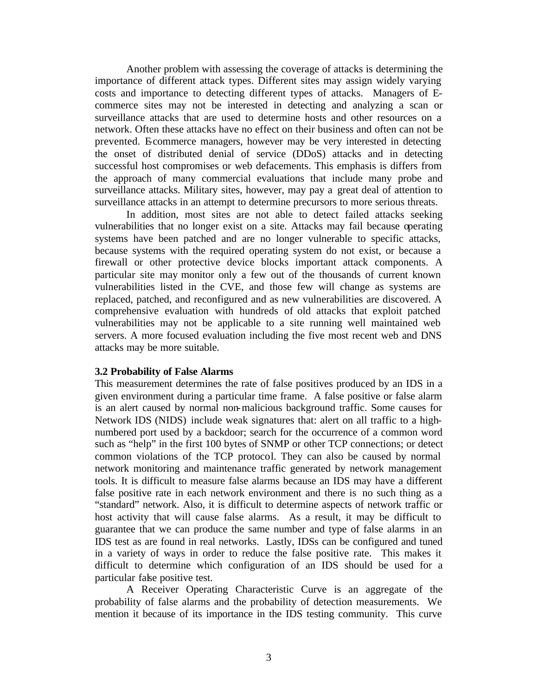Another problem with assessing the coverage of attacks is determining the importance of different attack types. Different sites may assign widely varying costs and importance to detecting different types of attacks. Managers of Ecommerce sites may not be interested in detecting and analyzing a scan or surveillance attacks that are used to determine hosts and other resources on a network. Often these attacks have no effect on their business and often can not be prevented. Ecommerce managers, however may be very interested in detecting the onset of distributed denial of service (DDoS) attacks and in detecting successful host compromises or web defacements. This emphasis is differs from the approach of many commercial evaluations that include many probe and surveillance attacks. Military sites, however, may pay a great deal of attention to surveillance attacks in an attempt to determine precursors to more serious threats.

In addition, most sites are not able to detect failed attacks seeking vulnerabilities that no longer exist on a site. Attacks may fail because operating systems have been patched and are no longer vulnerable to specific attacks, because systems with the required operating system do not exist, or because a firewall or other protective device blocks important attack components. A particular site may monitor only a few out of the thousands of current known vulnerabilities listed in the CVE, and those few will change as systems are replaced, patched, and reconfigured and as new vulnerabilities are discovered. A comprehensive evaluation with hundreds of old attacks that exploit patched vulnerabilities may not be applicable to a site running well maintained web servers. A more focused evaluation including the five most recent web and DNS attacks may be more suitable.

#### **3.2 Probability of False Alarms**

This measurement determines the rate of false positives produced by an IDS in a given environment during a particular time frame. A false positive or false alarm is an alert caused by normal non-malicious background traffic. Some causes for Network IDS (NIDS) include weak signatures that: alert on all traffic to a highnumbered port used by a backdoor; search for the occurrence of a common word such as "help" in the first 100 bytes of SNMP or other TCP connections; or detect common violations of the TCP protocol. They can also be caused by normal network monitoring and maintenance traffic generated by network management tools. It is difficult to measure false alarms because an IDS may have a different false positive rate in each network environment and there is no such thing as a "standard" network. Also, it is difficult to determine aspects of network traffic or host activity that will cause false alarms. As a result, it may be difficult to guarantee that we can produce the same number and type of false alarms in an IDS test as are found in real networks. Lastly, IDSs can be configured and tuned in a variety of ways in order to reduce the false positive rate. This makes it difficult to determine which configuration of an IDS should be used for a particular false positive test.

A Receiver Operating Characteristic Curve is an aggregate of the probability of false alarms and the probability of detection measurements. We mention it because of its importance in the IDS testing community. This curve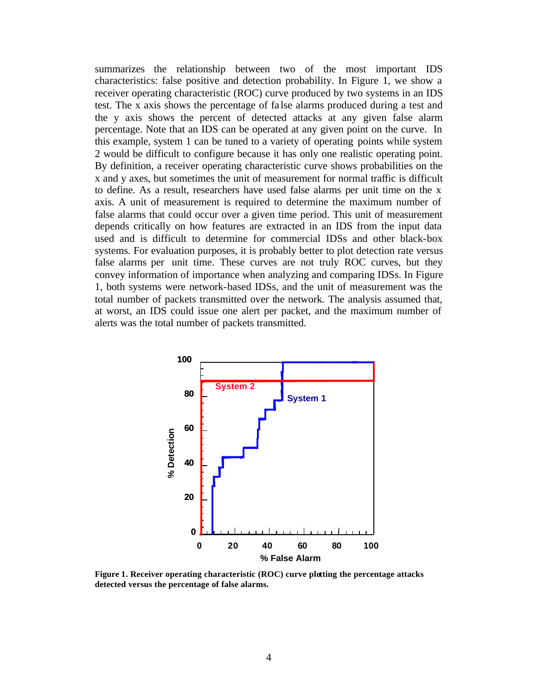summarizes the relationship between two of the most important IDS characteristics: false positive and detection probability. In Figure 1, we show a receiver operating characteristic (ROC) curve produced by two systems in an IDS test. The x axis shows the percentage of fa lse alarms produced during a test and the y axis shows the percent of detected attacks at any given false alarm percentage. Note that an IDS can be operated at any given point on the curve. In this example, system 1 can be tuned to a variety of operating points while system 2 would be difficult to configure because it has only one realistic operating point. By definition, a receiver operating characteristic curve shows probabilities on the x and y axes, but sometimes the unit of measurement for normal traffic is difficult to define. As a result, researchers have used false alarms per unit time on the x axis. A unit of measurement is required to determine the maximum number of false alarms that could occur over a given time period. This unit of measurement depends critically on how features are extracted in an IDS from the input data used and is difficult to determine for commercial IDSs and other black-box systems. For evaluation purposes, it is probably better to plot detection rate versus false alarms per unit time. These curves are not truly ROC curves, but they convey information of importance when analyzing and comparing IDSs. In Figure 1, both systems were network-based IDSs, and the unit of measurement was the total number of packets transmitted over the network. The analysis assumed that, at worst, an IDS could issue one alert per packet, and the maximum number of alerts was the total number of packets transmitted.



**Figure 1. Receiver operating characteristic (ROC) curve plotting the percentage attacks detected versus the percentage of false alarms.**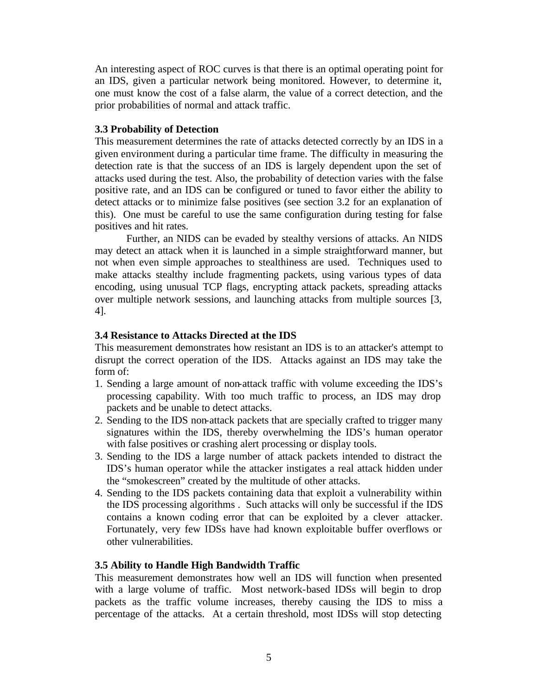An interesting aspect of ROC curves is that there is an optimal operating point for an IDS, given a particular network being monitored. However, to determine it, one must know the cost of a false alarm, the value of a correct detection, and the prior probabilities of normal and attack traffic.

#### **3.3 Probability of Detection**

This measurement determines the rate of attacks detected correctly by an IDS in a given environment during a particular time frame. The difficulty in measuring the detection rate is that the success of an IDS is largely dependent upon the set of attacks used during the test. Also, the probability of detection varies with the false positive rate, and an IDS can be configured or tuned to favor either the ability to detect attacks or to minimize false positives (see section 3.2 for an explanation of this). One must be careful to use the same configuration during testing for false positives and hit rates.

Further, an NIDS can be evaded by stealthy versions of attacks. An NIDS may detect an attack when it is launched in a simple straightforward manner, but not when even simple approaches to stealthiness are used. Techniques used to make attacks stealthy include fragmenting packets, using various types of data encoding, using unusual TCP flags, encrypting attack packets, spreading attacks over multiple network sessions, and launching attacks from multiple sources [3, 4].

### **3.4 Resistance to Attacks Directed at the IDS**

This measurement demonstrates how resistant an IDS is to an attacker's attempt to disrupt the correct operation of the IDS. Attacks against an IDS may take the form of:

- 1. Sending a large amount of non-attack traffic with volume exceeding the IDS's processing capability. With too much traffic to process, an IDS may drop packets and be unable to detect attacks.
- 2. Sending to the IDS non-attack packets that are specially crafted to trigger many signatures within the IDS, thereby overwhelming the IDS's human operator with false positives or crashing alert processing or display tools.
- 3. Sending to the IDS a large number of attack packets intended to distract the IDS's human operator while the attacker instigates a real attack hidden under the "smokescreen" created by the multitude of other attacks.
- 4. Sending to the IDS packets containing data that exploit a vulnerability within the IDS processing algorithms . Such attacks will only be successful if the IDS contains a known coding error that can be exploited by a clever attacker. Fortunately, very few IDSs have had known exploitable buffer overflows or other vulnerabilities.

### **3.5 Ability to Handle High Bandwidth Traffic**

This measurement demonstrates how well an IDS will function when presented with a large volume of traffic. Most network-based IDSs will begin to drop packets as the traffic volume increases, thereby causing the IDS to miss a percentage of the attacks. At a certain threshold, most IDSs will stop detecting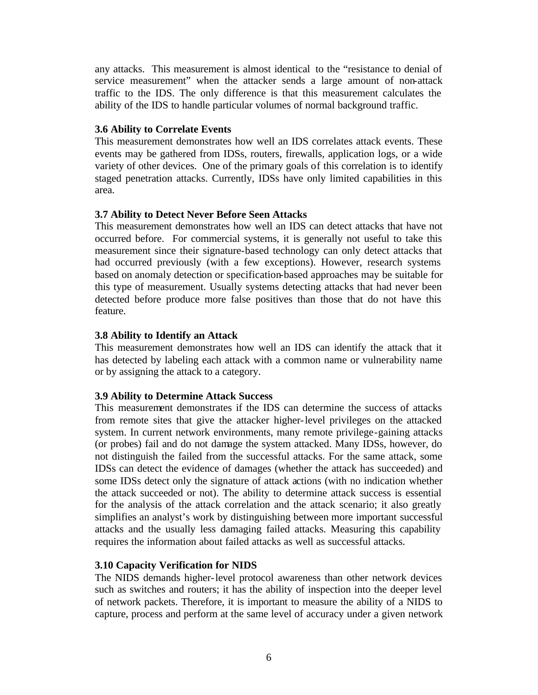any attacks. This measurement is almost identical to the "resistance to denial of service measurement" when the attacker sends a large amount of non-attack traffic to the IDS. The only difference is that this measurement calculates the ability of the IDS to handle particular volumes of normal background traffic.

#### **3.6 Ability to Correlate Events**

This measurement demonstrates how well an IDS correlates attack events. These events may be gathered from IDSs, routers, firewalls, application logs, or a wide variety of other devices. One of the primary goals of this correlation is to identify staged penetration attacks. Currently, IDSs have only limited capabilities in this area.

### **3.7 Ability to Detect Never Before Seen Attacks**

This measurement demonstrates how well an IDS can detect attacks that have not occurred before. For commercial systems, it is generally not useful to take this measurement since their signature-based technology can only detect attacks that had occurred previously (with a few exceptions). However, research systems based on anomaly detection or specification-based approaches may be suitable for this type of measurement. Usually systems detecting attacks that had never been detected before produce more false positives than those that do not have this feature.

#### **3.8 Ability to Identify an Attack**

This measurement demonstrates how well an IDS can identify the attack that it has detected by labeling each attack with a common name or vulnerability name or by assigning the attack to a category.

### **3.9 Ability to Determine Attack Success**

This measurement demonstrates if the IDS can determine the success of attacks from remote sites that give the attacker higher-level privileges on the attacked system. In current network environments, many remote privilege-gaining attacks (or probes) fail and do not damage the system attacked. Many IDSs, however, do not distinguish the failed from the successful attacks. For the same attack, some IDSs can detect the evidence of damages (whether the attack has succeeded) and some IDSs detect only the signature of attack actions (with no indication whether the attack succeeded or not). The ability to determine attack success is essential for the analysis of the attack correlation and the attack scenario; it also greatly simplifies an analyst's work by distinguishing between more important successful attacks and the usually less damaging failed attacks. Measuring this capability requires the information about failed attacks as well as successful attacks.

### **3.10 Capacity Verification for NIDS**

The NIDS demands higher-level protocol awareness than other network devices such as switches and routers; it has the ability of inspection into the deeper level of network packets. Therefore, it is important to measure the ability of a NIDS to capture, process and perform at the same level of accuracy under a given network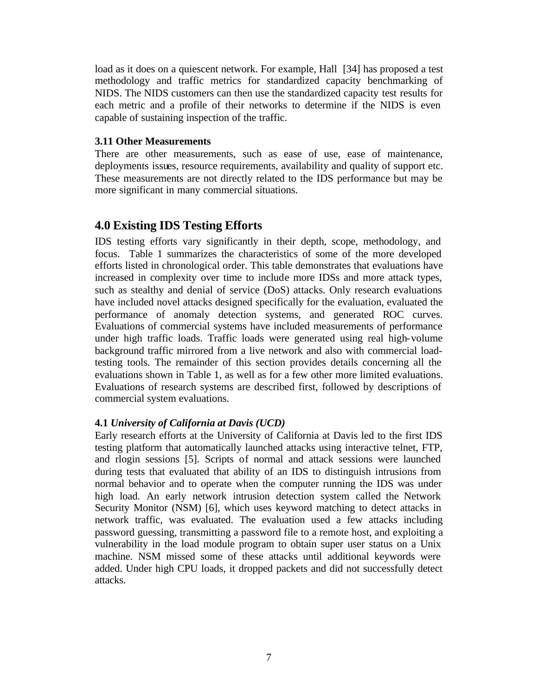load as it does on a quiescent network. For example, Hall [34] has proposed a test methodology and traffic metrics for standardized capacity benchmarking of NIDS. The NIDS customers can then use the standardized capacity test results for each metric and a profile of their networks to determine if the NIDS is even capable of sustaining inspection of the traffic.

#### **3.11 Other Measurements**

There are other measurements, such as ease of use, ease of maintenance, deployments issues, resource requirements, availability and quality of support etc. These measurements are not directly related to the IDS performance but may be more significant in many commercial situations.

# **4.0 Existing IDS Testing Efforts**

IDS testing efforts vary significantly in their depth, scope, methodology, and focus. Table 1 summarizes the characteristics of some of the more developed efforts listed in chronological order. This table demonstrates that evaluations have increased in complexity over time to include more IDSs and more attack types, such as stealthy and denial of service (DoS) attacks. Only research evaluations have included novel attacks designed specifically for the evaluation, evaluated the performance of anomaly detection systems, and generated ROC curves. Evaluations of commercial systems have included measurements of performance under high traffic loads. Traffic loads were generated using real high-volume background traffic mirrored from a live network and also with commercial loadtesting tools. The remainder of this section provides details concerning all the evaluations shown in Table 1, as well as for a few other more limited evaluations. Evaluations of research systems are described first, followed by descriptions of commercial system evaluations.

### **4.1** *University of California at Davis (UCD)*

Early research efforts at the University of California at Davis led to the first IDS testing platform that automatically launched attacks using interactive telnet, FTP, and rlogin sessions [5]. Scripts of normal and attack sessions were launched during tests that evaluated that ability of an IDS to distinguish intrusions from normal behavior and to operate when the computer running the IDS was under high load. An early network intrusion detection system called the Network Security Monitor (NSM) [6], which uses keyword matching to detect attacks in network traffic, was evaluated. The evaluation used a few attacks including password guessing, transmitting a password file to a remote host, and exploiting a vulnerability in the load module program to obtain super user status on a Unix machine. NSM missed some of these attacks until additional keywords were added. Under high CPU loads, it dropped packets and did not successfully detect attacks.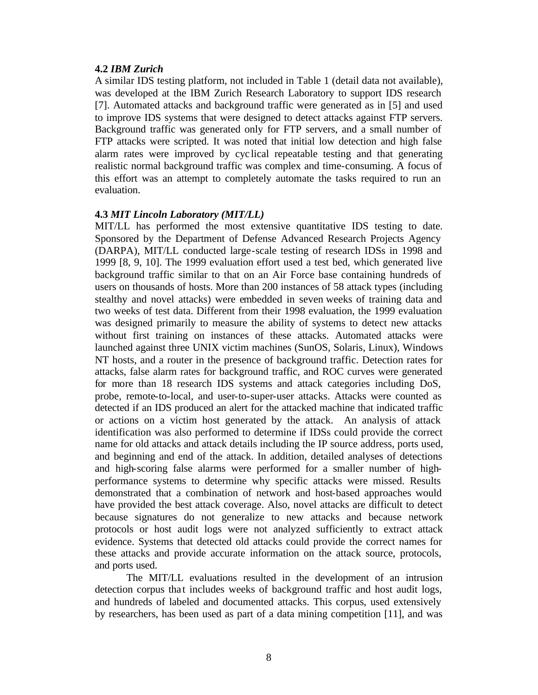#### **4.2** *IBM Zurich*

A similar IDS testing platform, not included in Table 1 (detail data not available), was developed at the IBM Zurich Research Laboratory to support IDS research [7]. Automated attacks and background traffic were generated as in [5] and used to improve IDS systems that were designed to detect attacks against FTP servers. Background traffic was generated only for FTP servers, and a small number of FTP attacks were scripted. It was noted that initial low detection and high false alarm rates were improved by cyc lical repeatable testing and that generating realistic normal background traffic was complex and time-consuming. A focus of this effort was an attempt to completely automate the tasks required to run an evaluation.

#### **4.3** *MIT Lincoln Laboratory (MIT/LL)*

MIT/LL has performed the most extensive quantitative IDS testing to date. Sponsored by the Department of Defense Advanced Research Projects Agency (DARPA), MIT/LL conducted large-scale testing of research IDSs in 1998 and 1999 [8, 9, 10]. The 1999 evaluation effort used a test bed, which generated live background traffic similar to that on an Air Force base containing hundreds of users on thousands of hosts. More than 200 instances of 58 attack types (including stealthy and novel attacks) were embedded in seven weeks of training data and two weeks of test data. Different from their 1998 evaluation, the 1999 evaluation was designed primarily to measure the ability of systems to detect new attacks without first training on instances of these attacks. Automated attacks were launched against three UNIX victim machines (SunOS, Solaris, Linux), Windows NT hosts, and a router in the presence of background traffic. Detection rates for attacks, false alarm rates for background traffic, and ROC curves were generated for more than 18 research IDS systems and attack categories including DoS, probe, remote-to-local, and user-to-super-user attacks. Attacks were counted as detected if an IDS produced an alert for the attacked machine that indicated traffic or actions on a victim host generated by the attack. An analysis of attack identification was also performed to determine if IDSs could provide the correct name for old attacks and attack details including the IP source address, ports used, and beginning and end of the attack. In addition, detailed analyses of detections and high-scoring false alarms were performed for a smaller number of highperformance systems to determine why specific attacks were missed. Results demonstrated that a combination of network and host-based approaches would have provided the best attack coverage. Also, novel attacks are difficult to detect because signatures do not generalize to new attacks and because network protocols or host audit logs were not analyzed sufficiently to extract attack evidence. Systems that detected old attacks could provide the correct names for these attacks and provide accurate information on the attack source, protocols, and ports used.

The MIT/LL evaluations resulted in the development of an intrusion detection corpus that includes weeks of background traffic and host audit logs, and hundreds of labeled and documented attacks. This corpus, used extensively by researchers, has been used as part of a data mining competition [11], and was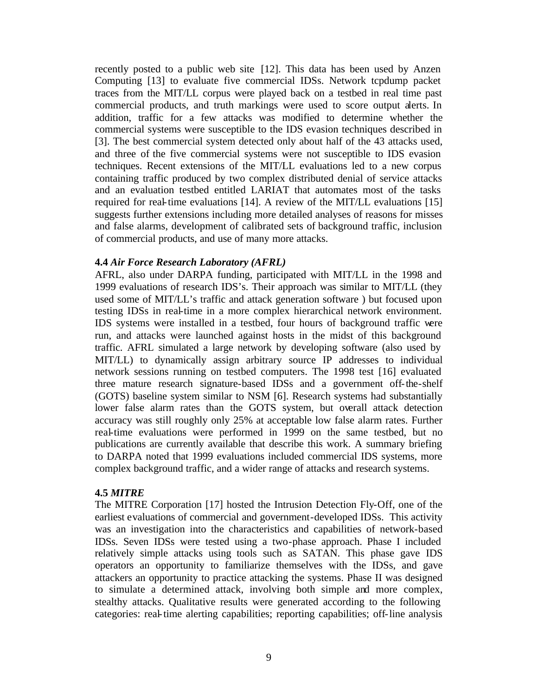recently posted to a public web site [12]. This data has been used by Anzen Computing [13] to evaluate five commercial IDSs. Network tcpdump packet traces from the MIT/LL corpus were played back on a testbed in real time past commercial products, and truth markings were used to score output alerts. In addition, traffic for a few attacks was modified to determine whether the commercial systems were susceptible to the IDS evasion techniques described in [3]. The best commercial system detected only about half of the 43 attacks used, and three of the five commercial systems were not susceptible to IDS evasion techniques. Recent extensions of the MIT/LL evaluations led to a new corpus containing traffic produced by two complex distributed denial of service attacks and an evaluation testbed entitled LARIAT that automates most of the tasks required for real-time evaluations [14]. A review of the MIT/LL evaluations [15] suggests further extensions including more detailed analyses of reasons for misses and false alarms, development of calibrated sets of background traffic, inclusion of commercial products, and use of many more attacks.

#### **4.4** *Air Force Research Laboratory (AFRL)*

AFRL, also under DARPA funding, participated with MIT/LL in the 1998 and 1999 evaluations of research IDS's. Their approach was similar to MIT/LL (they used some of MIT/LL's traffic and attack generation software ) but focused upon testing IDSs in real-time in a more complex hierarchical network environment. IDS systems were installed in a testbed, four hours of background traffic were run, and attacks were launched against hosts in the midst of this background traffic. AFRL simulated a large network by developing software (also used by MIT/LL) to dynamically assign arbitrary source IP addresses to individual network sessions running on testbed computers. The 1998 test [16] evaluated three mature research signature-based IDSs and a government off-the-shelf (GOTS) baseline system similar to NSM [6]. Research systems had substantially lower false alarm rates than the GOTS system, but overall attack detection accuracy was still roughly only 25% at acceptable low false alarm rates. Further real-time evaluations were performed in 1999 on the same testbed, but no publications are currently available that describe this work. A summary briefing to DARPA noted that 1999 evaluations included commercial IDS systems, more complex background traffic, and a wider range of attacks and research systems.

#### **4.5** *MITRE*

The MITRE Corporation [17] hosted the Intrusion Detection Fly-Off, one of the earliest evaluations of commercial and government-developed IDSs. This activity was an investigation into the characteristics and capabilities of network-based IDSs. Seven IDSs were tested using a two-phase approach. Phase I included relatively simple attacks using tools such as SATAN. This phase gave IDS operators an opportunity to familiarize themselves with the IDSs, and gave attackers an opportunity to practice attacking the systems. Phase II was designed to simulate a determined attack, involving both simple and more complex, stealthy attacks. Qualitative results were generated according to the following categories: real-time alerting capabilities; reporting capabilities; off-line analysis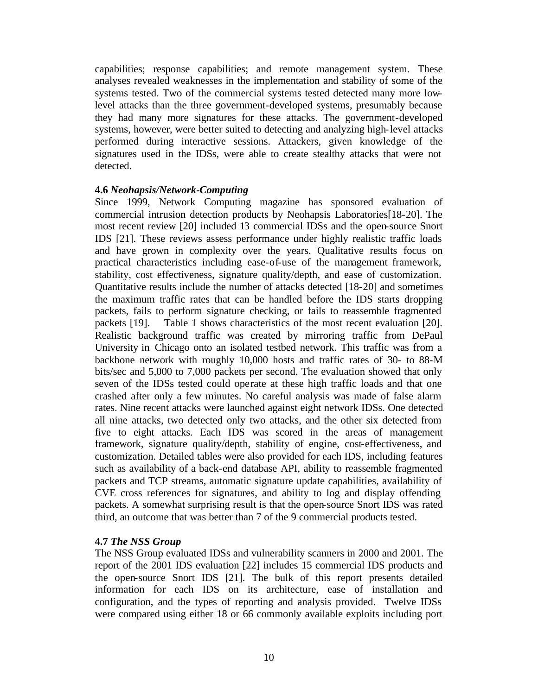capabilities; response capabilities; and remote management system. These analyses revealed weaknesses in the implementation and stability of some of the systems tested. Two of the commercial systems tested detected many more lowlevel attacks than the three government-developed systems, presumably because they had many more signatures for these attacks. The government-developed systems, however, were better suited to detecting and analyzing high-level attacks performed during interactive sessions. Attackers, given knowledge of the signatures used in the IDSs, were able to create stealthy attacks that were not detected.

### **4.6** *Neohapsis/Network-Computing*

Since 1999, Network Computing magazine has sponsored evaluation of commercial intrusion detection products by Neohapsis Laboratories[18-20]. The most recent review [20] included 13 commercial IDSs and the open-source Snort IDS [21]. These reviews assess performance under highly realistic traffic loads and have grown in complexity over the years. Qualitative results focus on practical characteristics including ease-of-use of the management framework, stability, cost effectiveness, signature quality/depth, and ease of customization. Quantitative results include the number of attacks detected [18-20] and sometimes the maximum traffic rates that can be handled before the IDS starts dropping packets, fails to perform signature checking, or fails to reassemble fragmented packets [19]. Table 1 shows characteristics of the most recent evaluation [20]. Realistic background traffic was created by mirroring traffic from DePaul University in Chicago onto an isolated testbed network. This traffic was from a backbone network with roughly 10,000 hosts and traffic rates of 30- to 88-M bits/sec and 5,000 to 7,000 packets per second. The evaluation showed that only seven of the IDSs tested could operate at these high traffic loads and that one crashed after only a few minutes. No careful analysis was made of false alarm rates. Nine recent attacks were launched against eight network IDSs. One detected all nine attacks, two detected only two attacks, and the other six detected from five to eight attacks. Each IDS was scored in the areas of management framework, signature quality/depth, stability of engine, cost-effectiveness, and customization. Detailed tables were also provided for each IDS, including features such as availability of a back-end database API, ability to reassemble fragmented packets and TCP streams, automatic signature update capabilities, availability of CVE cross references for signatures, and ability to log and display offending packets. A somewhat surprising result is that the open-source Snort IDS was rated third, an outcome that was better than 7 of the 9 commercial products tested.

### **4.7** *The NSS Group*

The NSS Group evaluated IDSs and vulnerability scanners in 2000 and 2001. The report of the 2001 IDS evaluation [22] includes 15 commercial IDS products and the open-source Snort IDS [21]. The bulk of this report presents detailed information for each IDS on its architecture, ease of installation and configuration, and the types of reporting and analysis provided. Twelve IDSs were compared using either 18 or 66 commonly available exploits including port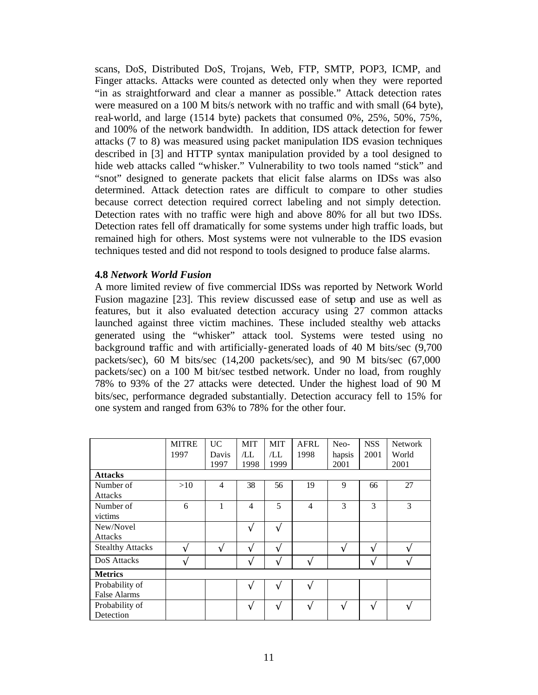scans, DoS, Distributed DoS, Trojans, Web, FTP, SMTP, POP3, ICMP, and Finger attacks. Attacks were counted as detected only when they were reported "in as straightforward and clear a manner as possible." Attack detection rates were measured on a 100 M bits/s network with no traffic and with small (64 byte), real-world, and large (1514 byte) packets that consumed 0%, 25%, 50%, 75%, and 100% of the network bandwidth. In addition, IDS attack detection for fewer attacks (7 to 8) was measured using packet manipulation IDS evasion techniques described in [3] and HTTP syntax manipulation provided by a tool designed to hide web attacks called "whisker." Vulnerability to two tools named "stick" and "snot" designed to generate packets that elicit false alarms on IDSs was also determined. Attack detection rates are difficult to compare to other studies because correct detection required correct labeling and not simply detection. Detection rates with no traffic were high and above 80% for all but two IDSs. Detection rates fell off dramatically for some systems under high traffic loads, but remained high for others. Most systems were not vulnerable to the IDS evasion techniques tested and did not respond to tools designed to produce false alarms.

#### **4.8** *Network World Fusion*

A more limited review of five commercial IDSs was reported by Network World Fusion magazine [23]. This review discussed ease of setup and use as well as features, but it also evaluated detection accuracy using 27 common attacks launched against three victim machines. These included stealthy web attacks generated using the "whisker" attack tool. Systems were tested using no background traffic and with artificially-generated loads of 40 M bits/sec (9,700 packets/sec), 60 M bits/sec (14,200 packets/sec), and 90 M bits/sec (67,000 packets/sec) on a 100 M bit/sec testbed network. Under no load, from roughly 78% to 93% of the 27 attacks were detected. Under the highest load of 90 M bits/sec, performance degraded substantially. Detection accuracy fell to 15% for one system and ranged from 63% to 78% for the other four.

|                         | <b>MITRE</b> | <b>UC</b>      | <b>MIT</b>     | <b>MIT</b> | <b>AFRL</b>    | Neo-   | <b>NSS</b> | <b>Network</b> |
|-------------------------|--------------|----------------|----------------|------------|----------------|--------|------------|----------------|
|                         | 1997         | Davis          | /LL            | /LL        | 1998           | hapsis | 2001       | World          |
|                         |              | 1997           | 1998           | 1999       |                | 2001   |            | 2001           |
| <b>Attacks</b>          |              |                |                |            |                |        |            |                |
| Number of               | >10          | $\overline{4}$ | 38             | 56         | 19             | 9      | 66         | 27             |
| <b>Attacks</b>          |              |                |                |            |                |        |            |                |
| Number of               | 6            | $\mathbf{1}$   | $\overline{4}$ | 5          | $\overline{4}$ | 3      | 3          | 3              |
| victims                 |              |                |                |            |                |        |            |                |
| New/Novel               |              |                | Ö              | Ö          |                |        |            |                |
| Attacks                 |              |                |                |            |                |        |            |                |
| <b>Stealthy Attacks</b> | Ö            | Ö              | Ö              | Ö          |                | Ö      | Ö          | Ö              |
| DoS Attacks             | Ö            |                | Ö              | Ö          | Ö              |        | Ö          | Ö              |
| <b>Metrics</b>          |              |                |                |            |                |        |            |                |
| Probability of          |              |                | Ö              | Ö          | Ö              |        |            |                |
| <b>False Alarms</b>     |              |                |                |            |                |        |            |                |
| Probability of          |              |                | Ö              | Ö          | Ö              | Ö      | Ö          | Ö              |
| Detection               |              |                |                |            |                |        |            |                |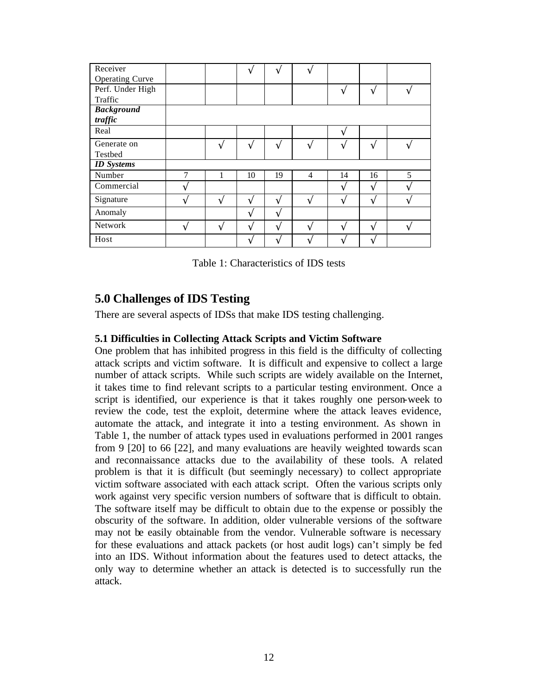| Receiver               |   |   | Ö  | Ö  | Ö |    |    |   |
|------------------------|---|---|----|----|---|----|----|---|
| <b>Operating Curve</b> |   |   |    |    |   |    |    |   |
| Perf. Under High       |   |   |    |    |   | Ö  | Ö  | Ö |
| Traffic                |   |   |    |    |   |    |    |   |
| <b>Background</b>      |   |   |    |    |   |    |    |   |
| traffic                |   |   |    |    |   |    |    |   |
| Real                   |   |   |    |    |   | Ö  |    |   |
| Generate on            |   | Ö | Ö  | Ö  | Ö | Ö  | Ö  | Ö |
| Testbed                |   |   |    |    |   |    |    |   |
| <b>ID</b> Systems      |   |   |    |    |   |    |    |   |
| Number                 | 7 | 1 | 10 | 19 | 4 | 14 | 16 | 5 |
| Commercial             | Ö |   |    |    |   | Ö  | Ö  | Ö |
| Signature              | Ö | Ö | Ö  | Ö  | Ö | Ö  | Ö  | Ö |
| Anomaly                |   |   | Ö  | Ö  |   |    |    |   |
| Network                | Ö | Ö | Ö  | Ö  | Ö | Ö  | Ö  | Ö |
| Host                   |   |   | Ö  | Ö  | Ö | Ö  | Ö  |   |

Table 1: Characteristics of IDS tests

# **5.0 Challenges of IDS Testing**

There are several aspects of IDSs that make IDS testing challenging.

#### **5.1 Difficulties in Collecting Attack Scripts and Victim Software**

One problem that has inhibited progress in this field is the difficulty of collecting attack scripts and victim software. It is difficult and expensive to collect a large number of attack scripts. While such scripts are widely available on the Internet, it takes time to find relevant scripts to a particular testing environment. Once a script is identified, our experience is that it takes roughly one person-week to review the code, test the exploit, determine where the attack leaves evidence, automate the attack, and integrate it into a testing environment. As shown in Table 1, the number of attack types used in evaluations performed in 2001 ranges from 9 [20] to 66 [22], and many evaluations are heavily weighted towards scan and reconnaissance attacks due to the availability of these tools. A related problem is that it is difficult (but seemingly necessary) to collect appropriate victim software associated with each attack script. Often the various scripts only work against very specific version numbers of software that is difficult to obtain. The software itself may be difficult to obtain due to the expense or possibly the obscurity of the software. In addition, older vulnerable versions of the software may not be easily obtainable from the vendor. Vulnerable software is necessary for these evaluations and attack packets (or host audit logs) can't simply be fed into an IDS. Without information about the features used to detect attacks, the only way to determine whether an attack is detected is to successfully run the attack.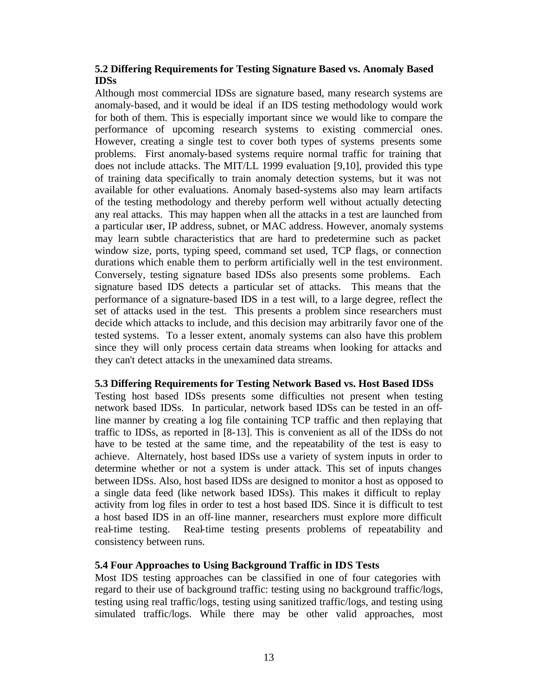# **5.2 Differing Requirements for Testing Signature Based vs. Anomaly Based IDSs**

Although most commercial IDSs are signature based, many research systems are anomaly-based, and it would be ideal if an IDS testing methodology would work for both of them. This is especially important since we would like to compare the performance of upcoming research systems to existing commercial ones. However, creating a single test to cover both types of systems presents some problems. First anomaly-based systems require normal traffic for training that does not include attacks. The MIT/LL 1999 evaluation [9,10], provided this type of training data specifically to train anomaly detection systems, but it was not available for other evaluations. Anomaly based-systems also may learn artifacts of the testing methodology and thereby perform well without actually detecting any real attacks. This may happen when all the attacks in a test are launched from a particular user, IP address, subnet, or MAC address. However, anomaly systems may learn subtle characteristics that are hard to predetermine such as packet window size, ports, typing speed, command set used, TCP flags, or connection durations which enable them to perform artificially well in the test environment. Conversely, testing signature based IDSs also presents some problems. Each signature based IDS detects a particular set of attacks. This means that the performance of a signature-based IDS in a test will, to a large degree, reflect the set of attacks used in the test. This presents a problem since researchers must decide which attacks to include, and this decision may arbitrarily favor one of the tested systems. To a lesser extent, anomaly systems can also have this problem since they will only process certain data streams when looking for attacks and they can't detect attacks in the unexamined data streams.

### **5.3 Differing Requirements for Testing Network Based vs. Host Based IDSs**

Testing host based IDSs presents some difficulties not present when testing network based IDSs. In particular, network based IDSs can be tested in an offline manner by creating a log file containing TCP traffic and then replaying that traffic to IDSs, as reported in [8-13]. This is convenient as all of the IDSs do not have to be tested at the same time, and the repeatability of the test is easy to achieve. Alternately, host based IDSs use a variety of system inputs in order to determine whether or not a system is under attack. This set of inputs changes between IDSs. Also, host based IDSs are designed to monitor a host as opposed to a single data feed (like network based IDSs). This makes it difficult to replay activity from log files in order to test a host based IDS. Since it is difficult to test a host based IDS in an off-line manner, researchers must explore more difficult real-time testing. Real-time testing presents problems of repeatability and consistency between runs.

### **5.4 Four Approaches to Using Background Traffic in IDS Tests**

Most IDS testing approaches can be classified in one of four categories with regard to their use of background traffic: testing using no background traffic/logs, testing using real traffic/logs, testing using sanitized traffic/logs, and testing using simulated traffic/logs. While there may be other valid approaches, most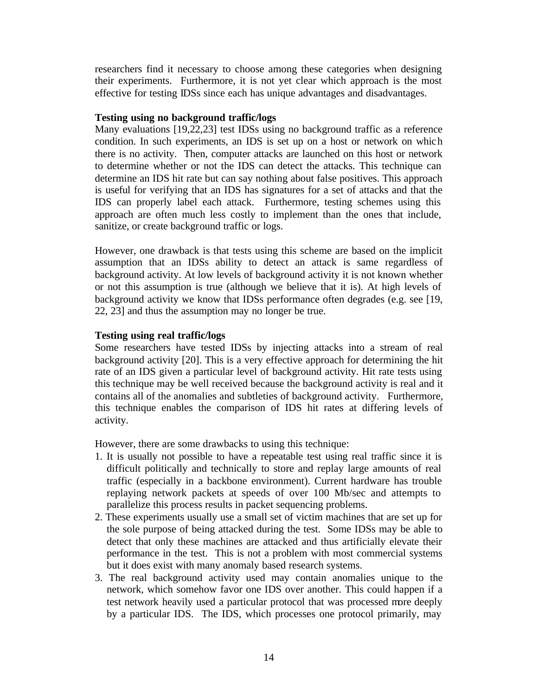researchers find it necessary to choose among these categories when designing their experiments. Furthermore, it is not yet clear which approach is the most effective for testing IDSs since each has unique advantages and disadvantages.

#### **Testing using no background traffic/logs**

Many evaluations [19,22,23] test IDSs using no background traffic as a reference condition. In such experiments, an IDS is set up on a host or network on which there is no activity. Then, computer attacks are launched on this host or network to determine whether or not the IDS can detect the attacks. This technique can determine an IDS hit rate but can say nothing about false positives. This approach is useful for verifying that an IDS has signatures for a set of attacks and that the IDS can properly label each attack. Furthermore, testing schemes using this approach are often much less costly to implement than the ones that include, sanitize, or create background traffic or logs.

However, one drawback is that tests using this scheme are based on the implicit assumption that an IDSs ability to detect an attack is same regardless of background activity. At low levels of background activity it is not known whether or not this assumption is true (although we believe that it is). At high levels of background activity we know that IDSs performance often degrades (e.g. see [19, 22, 23] and thus the assumption may no longer be true.

### **Testing using real traffic/logs**

Some researchers have tested IDSs by injecting attacks into a stream of real background activity [20]. This is a very effective approach for determining the hit rate of an IDS given a particular level of background activity. Hit rate tests using this technique may be well received because the background activity is real and it contains all of the anomalies and subtleties of background activity. Furthermore, this technique enables the comparison of IDS hit rates at differing levels of activity.

However, there are some drawbacks to using this technique:

- 1. It is usually not possible to have a repeatable test using real traffic since it is difficult politically and technically to store and replay large amounts of real traffic (especially in a backbone environment). Current hardware has trouble replaying network packets at speeds of over 100 Mb/sec and attempts to parallelize this process results in packet sequencing problems.
- 2. These experiments usually use a small set of victim machines that are set up for the sole purpose of being attacked during the test. Some IDSs may be able to detect that only these machines are attacked and thus artificially elevate their performance in the test. This is not a problem with most commercial systems but it does exist with many anomaly based research systems.
- 3. The real background activity used may contain anomalies unique to the network, which somehow favor one IDS over another. This could happen if a test network heavily used a particular protocol that was processed more deeply by a particular IDS. The IDS, which processes one protocol primarily, may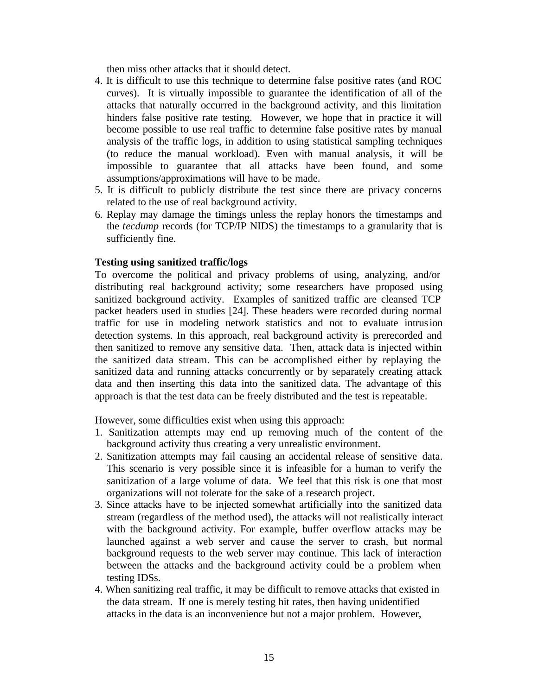then miss other attacks that it should detect.

- 4. It is difficult to use this technique to determine false positive rates (and ROC curves). It is virtually impossible to guarantee the identification of all of the attacks that naturally occurred in the background activity, and this limitation hinders false positive rate testing. However, we hope that in practice it will become possible to use real traffic to determine false positive rates by manual analysis of the traffic logs, in addition to using statistical sampling techniques (to reduce the manual workload). Even with manual analysis, it will be impossible to guarantee that all attacks have been found, and some assumptions/approximations will have to be made.
- 5. It is difficult to publicly distribute the test since there are privacy concerns related to the use of real background activity.
- 6. Replay may damage the timings unless the replay honors the timestamps and the *tecdump* records (for TCP/IP NIDS) the timestamps to a granularity that is sufficiently fine.

### **Testing using sanitized traffic/logs**

To overcome the political and privacy problems of using, analyzing, and/or distributing real background activity; some researchers have proposed using sanitized background activity. Examples of sanitized traffic are cleansed TCP packet headers used in studies [24]. These headers were recorded during normal traffic for use in modeling network statistics and not to evaluate intrusion detection systems. In this approach, real background activity is prerecorded and then sanitized to remove any sensitive data. Then, attack data is injected within the sanitized data stream. This can be accomplished either by replaying the sanitized data and running attacks concurrently or by separately creating attack data and then inserting this data into the sanitized data. The advantage of this approach is that the test data can be freely distributed and the test is repeatable.

However, some difficulties exist when using this approach:

- 1. Sanitization attempts may end up removing much of the content of the background activity thus creating a very unrealistic environment.
- 2. Sanitization attempts may fail causing an accidental release of sensitive data. This scenario is very possible since it is infeasible for a human to verify the sanitization of a large volume of data. We feel that this risk is one that most organizations will not tolerate for the sake of a research project.
- 3. Since attacks have to be injected somewhat artificially into the sanitized data stream (regardless of the method used), the attacks will not realistically interact with the background activity. For example, buffer overflow attacks may be launched against a web server and cause the server to crash, but normal background requests to the web server may continue. This lack of interaction between the attacks and the background activity could be a problem when testing IDSs.
- 4. When sanitizing real traffic, it may be difficult to remove attacks that existed in the data stream. If one is merely testing hit rates, then having unidentified attacks in the data is an inconvenience but not a major problem. However,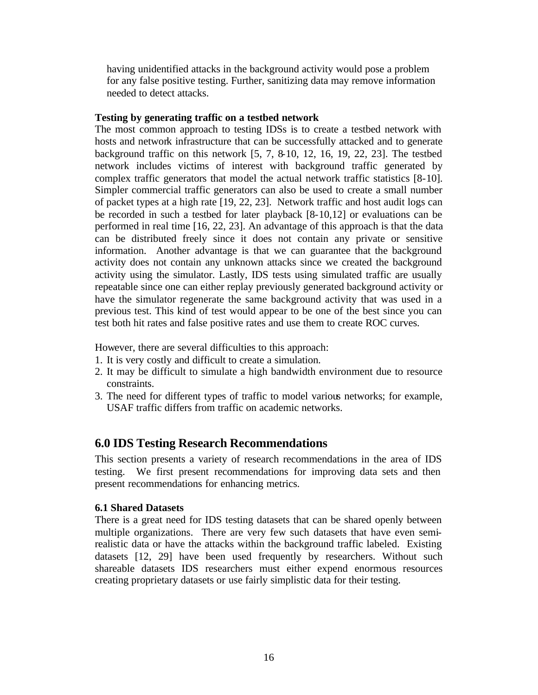having unidentified attacks in the background activity would pose a problem for any false positive testing. Further, sanitizing data may remove information needed to detect attacks.

#### **Testing by generating traffic on a testbed network**

The most common approach to testing IDSs is to create a testbed network with hosts and network infrastructure that can be successfully attacked and to generate background traffic on this network [5, 7, 8-10, 12, 16, 19, 22, 23]. The testbed network includes victims of interest with background traffic generated by complex traffic generators that model the actual network traffic statistics [8-10]. Simpler commercial traffic generators can also be used to create a small number of packet types at a high rate [19, 22, 23]. Network traffic and host audit logs can be recorded in such a testbed for later playback [8-10,12] or evaluations can be performed in real time [16, 22, 23]. An advantage of this approach is that the data can be distributed freely since it does not contain any private or sensitive information. Another advantage is that we can guarantee that the background activity does not contain any unknown attacks since we created the background activity using the simulator. Lastly, IDS tests using simulated traffic are usually repeatable since one can either replay previously generated background activity or have the simulator regenerate the same background activity that was used in a previous test. This kind of test would appear to be one of the best since you can test both hit rates and false positive rates and use them to create ROC curves.

However, there are several difficulties to this approach:

- 1. It is very costly and difficult to create a simulation.
- 2. It may be difficult to simulate a high bandwidth environment due to resource constraints.
- 3. The need for different types of traffic to model various networks; for example, USAF traffic differs from traffic on academic networks.

# **6.0 IDS Testing Research Recommendations**

This section presents a variety of research recommendations in the area of IDS testing. We first present recommendations for improving data sets and then present recommendations for enhancing metrics.

### **6.1 Shared Datasets**

There is a great need for IDS testing datasets that can be shared openly between multiple organizations. There are very few such datasets that have even semirealistic data or have the attacks within the background traffic labeled. Existing datasets [12, 29] have been used frequently by researchers. Without such shareable datasets IDS researchers must either expend enormous resources creating proprietary datasets or use fairly simplistic data for their testing.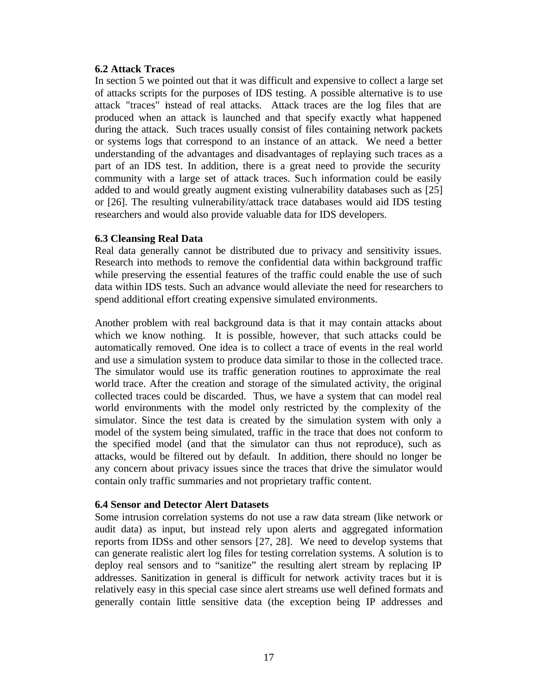#### **6.2 Attack Traces**

In section 5 we pointed out that it was difficult and expensive to collect a large set of attacks scripts for the purposes of IDS testing. A possible alternative is to use attack "traces" instead of real attacks. Attack traces are the log files that are produced when an attack is launched and that specify exactly what happened during the attack. Such traces usually consist of files containing network packets or systems logs that correspond to an instance of an attack. We need a better understanding of the advantages and disadvantages of replaying such traces as a part of an IDS test. In addition, there is a great need to provide the security community with a large set of attack traces. Such information could be easily added to and would greatly augment existing vulnerability databases such as [25] or [26]. The resulting vulnerability/attack trace databases would aid IDS testing researchers and would also provide valuable data for IDS developers.

### **6.3 Cleansing Real Data**

Real data generally cannot be distributed due to privacy and sensitivity issues. Research into methods to remove the confidential data within background traffic while preserving the essential features of the traffic could enable the use of such data within IDS tests. Such an advance would alleviate the need for researchers to spend additional effort creating expensive simulated environments.

Another problem with real background data is that it may contain attacks about which we know nothing. It is possible, however, that such attacks could be automatically removed. One idea is to collect a trace of events in the real world and use a simulation system to produce data similar to those in the collected trace. The simulator would use its traffic generation routines to approximate the real world trace. After the creation and storage of the simulated activity, the original collected traces could be discarded. Thus, we have a system that can model real world environments with the model only restricted by the complexity of the simulator. Since the test data is created by the simulation system with only a model of the system being simulated, traffic in the trace that does not conform to the specified model (and that the simulator can thus not reproduce), such as attacks, would be filtered out by default. In addition, there should no longer be any concern about privacy issues since the traces that drive the simulator would contain only traffic summaries and not proprietary traffic content.

### **6.4 Sensor and Detector Alert Datasets**

Some intrusion correlation systems do not use a raw data stream (like network or audit data) as input, but instead rely upon alerts and aggregated information reports from IDSs and other sensors [27, 28]. We need to develop systems that can generate realistic alert log files for testing correlation systems. A solution is to deploy real sensors and to "sanitize" the resulting alert stream by replacing IP addresses. Sanitization in general is difficult for network activity traces but it is relatively easy in this special case since alert streams use well defined formats and generally contain little sensitive data (the exception being IP addresses and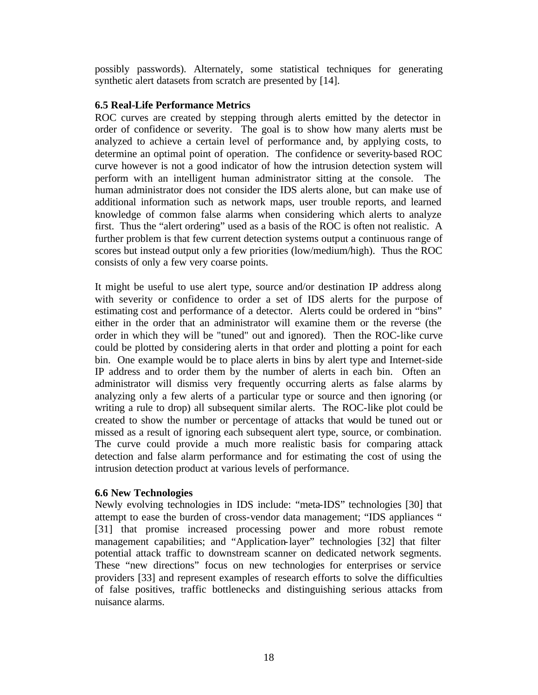possibly passwords). Alternately, some statistical techniques for generating synthetic alert datasets from scratch are presented by [14].

#### **6.5 Real-Life Performance Metrics**

ROC curves are created by stepping through alerts emitted by the detector in order of confidence or severity. The goal is to show how many alerts must be analyzed to achieve a certain level of performance and, by applying costs, to determine an optimal point of operation. The confidence or severity-based ROC curve however is not a good indicator of how the intrusion detection system will perform with an intelligent human administrator sitting at the console. The human administrator does not consider the IDS alerts alone, but can make use of additional information such as network maps, user trouble reports, and learned knowledge of common false alarms when considering which alerts to analyze first. Thus the "alert ordering" used as a basis of the ROC is often not realistic. A further problem is that few current detection systems output a continuous range of scores but instead output only a few priorities (low/medium/high). Thus the ROC consists of only a few very coarse points.

It might be useful to use alert type, source and/or destination IP address along with severity or confidence to order a set of IDS alerts for the purpose of estimating cost and performance of a detector. Alerts could be ordered in "bins" either in the order that an administrator will examine them or the reverse (the order in which they will be "tuned" out and ignored). Then the ROC-like curve could be plotted by considering alerts in that order and plotting a point for each bin. One example would be to place alerts in bins by alert type and Internet-side IP address and to order them by the number of alerts in each bin. Often an administrator will dismiss very frequently occurring alerts as false alarms by analyzing only a few alerts of a particular type or source and then ignoring (or writing a rule to drop) all subsequent similar alerts. The ROC-like plot could be created to show the number or percentage of attacks that would be tuned out or missed as a result of ignoring each subsequent alert type, source, or combination. The curve could provide a much more realistic basis for comparing attack detection and false alarm performance and for estimating the cost of using the intrusion detection product at various levels of performance.

### **6.6 New Technologies**

Newly evolving technologies in IDS include: "meta-IDS" technologies [30] that attempt to ease the burden of cross-vendor data management; "IDS appliances " [31] that promise increased processing power and more robust remote management capabilities; and "Application-layer" technologies [32] that filter potential attack traffic to downstream scanner on dedicated network segments. These "new directions" focus on new technologies for enterprises or service providers [33] and represent examples of research efforts to solve the difficulties of false positives, traffic bottlenecks and distinguishing serious attacks from nuisance alarms.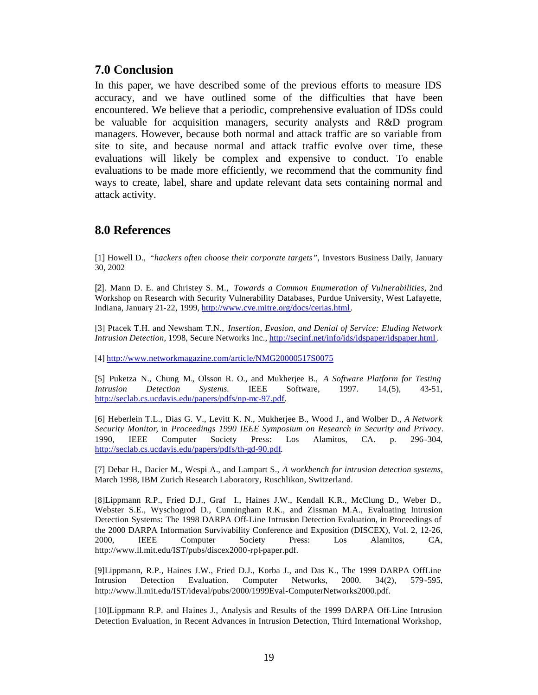# **7.0 Conclusion**

In this paper, we have described some of the previous efforts to measure IDS accuracy, and we have outlined some of the difficulties that have been encountered. We believe that a periodic, comprehensive evaluation of IDSs could be valuable for acquisition managers, security analysts and R&D program managers. However, because both normal and attack traffic are so variable from site to site, and because normal and attack traffic evolve over time, these evaluations will likely be complex and expensive to conduct. To enable evaluations to be made more efficiently, we recommend that the community find ways to create, label, share and update relevant data sets containing normal and attack activity.

# **8.0 References**

[1] Howell D., *"hackers often choose their corporate targets"*, Investors Business Daily, January 30, 2002

[2]. Mann D. E. and Christey S. M., *Towards a Common Enumeration of Vulnerabilities*, 2nd Workshop on Research with Security Vulnerability Databases, Purdue University, West Lafayette, Indiana, January 21-22, 1999, http://www.cve.mitre.org/docs/cerias.html.

[3] Ptacek T.H. and Newsham T.N., *Insertion, Evasion, and Denial of Service: Eluding Network Intrusion Detection*, 1998, Secure Networks Inc., http://secinf.net/info/ids/idspaper/idspaper.html .

[4] http://www.networkmagazine.com/article/NMG20000517S0075

[5] Puketza N., Chung M., Olsson R. O., and Mukherjee B., *A Software Platform for Testing Intrusion Detection Systems.* IEEE Software, 1997. 14,(5), 43-51, http://seclab.cs.ucdavis.edu/papers/pdfs/np-mc-97.pdf.

[6] Heberlein T.L., Dias G. V., Levitt K. N., Mukherjee B., Wood J., and Wolber D., *A Network Security Monitor*, in *Proceedings 1990 IEEE Symposium on Research in Security and Privacy*. 1990, IEEE Computer Society Press: Los Alamitos, CA. p. 296-304, http://seclab.cs.ucdavis.edu/papers/pdfs/th-gd-90.pdf.

[7] Debar H., Dacier M., Wespi A., and Lampart S., *A workbench for intrusion detection systems*, March 1998, IBM Zurich Research Laboratory, Ruschlikon, Switzerland.

[8]Lippmann R.P., Fried D.J., Graf I., Haines J.W., Kendall K.R., McClung D., Weber D., Webster S.E., Wyschogrod D., Cunningham R.K., and Zissman M.A., Evaluating Intrusion Detection Systems: The 1998 DARPA Off-Line Intrusion Detection Evaluation, in Proceedings of the 2000 DARPA Information Survivability Conference and Exposition (DISCEX), Vol. 2, 12-26, 2000, IEEE Computer Society Press: Los Alamitos, CA, http://www.ll.mit.edu/IST/pubs/discex2000-rpl-paper.pdf.

[9]Lippmann, R.P., Haines J.W., Fried D.J., Korba J., and Das K., The 1999 DARPA OffLine Intrusion Detection Evaluation. Computer Networks, 2000. 34(2), 579-595, http://www.ll.mit.edu/IST/ideval/pubs/2000/1999Eval-ComputerNetworks2000.pdf.

[10]Lippmann R.P. and Haines J., Analysis and Results of the 1999 DARPA Off-Line Intrusion Detection Evaluation, in Recent Advances in Intrusion Detection, Third International Workshop,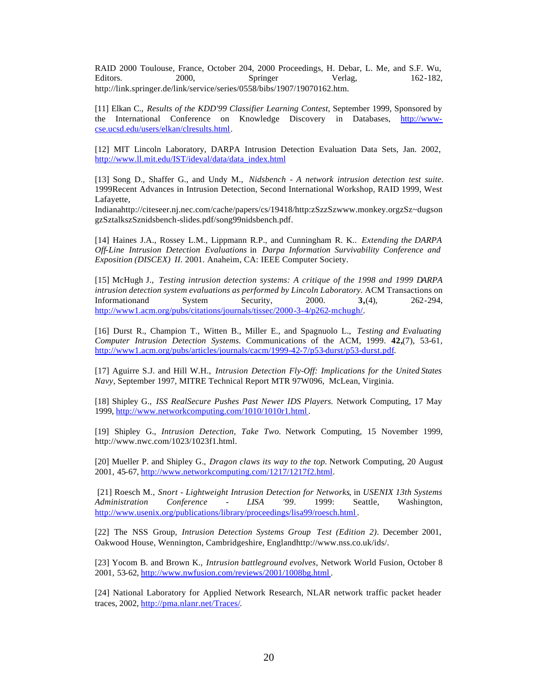RAID 2000 Toulouse, France, October 204, 2000 Proceedings, H. Debar, L. Me, and S.F. Wu, Editors. 2000, Springer Verlag, 162-182, http://link.springer.de/link/service/series/0558/bibs/1907/19070162.htm.

[11] Elkan C., *Results of the KDD'99 Classifier Learning Contest*, September 1999, Sponsored by the International Conference on Knowledge Discovery in Databases, http://wwwcse.ucsd.edu/users/elkan/clresults.html.

[12] MIT Lincoln Laboratory, DARPA Intrusion Detection Evaluation Data Sets, Jan. 2002, http://www.ll.mit.edu/IST/ideval/data/data\_index.html

[13] Song D., Shaffer G., and Undy M., *Nidsbench - A network intrusion detection test suite*. 1999Recent Advances in Intrusion Detection, Second International Workshop, RAID 1999, West Lafayette,

Indianahttp://citeseer.nj.nec.com/cache/papers/cs/19418/http:zSzzSzwww.monkey.orgzSz~dugson gzSztalkszSznidsbench-slides.pdf/song99nidsbench.pdf.

[14] Haines J.A., Rossey L.M., Lippmann R.P., and Cunningham R. K.. *Extending the DARPA Off-Line Intrusion Detection Evaluations* in *Darpa Information Survivability Conference and Exposition (DISCEX) II*. 2001. Anaheim, CA: IEEE Computer Society.

[15] McHugh J., *Testing intrusion detection systems: A critique of the 1998 and 1999 DARPA intrusion detection system evaluations as performed by Lincoln Laboratory.* ACM Transactions on Informationand System Security, 2000. **3,**(4), 262-294, http://www1.acm.org/pubs/citations/journals/tissec/2000-3-4/p262-mchugh/.

[16] Durst R., Champion T., Witten B., Miller E., and Spagnuolo L., *Testing and Evaluating Computer Intrusion Detection Systems.* Communications of the ACM, 1999. **42,**(7), 53-61, http://www1.acm.org/pubs/articles/journals/cacm/1999-42-7/p53-durst/p53-durst.pdf.

[17] Aguirre S.J. and Hill W.H., *Intrusion Detection Fly-Off: Implications for the United States Navy*, September 1997, MITRE Technical Report MTR 97W096, McLean, Virginia.

[18] Shipley G., *ISS RealSecure Pushes Past Newer IDS Players.* Network Computing, 17 May 1999, http://www.networkcomputing.com/1010/1010r1.html .

[19] Shipley G., *Intrusion Detection, Take Two.* Network Computing, 15 November 1999, http://www.nwc.com/1023/1023f1.html.

[20] Mueller P. and Shipley G., *Dragon claws its way to the top.* Network Computing, 20 August 2001, 45-67, http://www.networkcomputing.com/1217/1217f2.html.

 [21] Roesch M., *Snort - Lightweight Intrusion Detection for Networks*, in *USENIX 13th Systems Administration Conference - LISA '99*. 1999: Seattle, Washington, http://www.usenix.org/publications/library/proceedings/lisa99/roesch.html .

[22] The NSS Group, *Intrusion Detection Systems Group Test (Edition 2)*. December 2001, Oakwood House, Wennington, Cambridgeshire, Englandhttp://www.nss.co.uk/ids/.

[23] Yocom B. and Brown K., *Intrusion battleground evolves,* Network World Fusion, October 8 2001, 53-62, http://www.nwfusion.com/reviews/2001/1008bg.html .

[24] National Laboratory for Applied Network Research, NLAR network traffic packet header traces, 2002, http://pma.nlanr.net/Traces/.